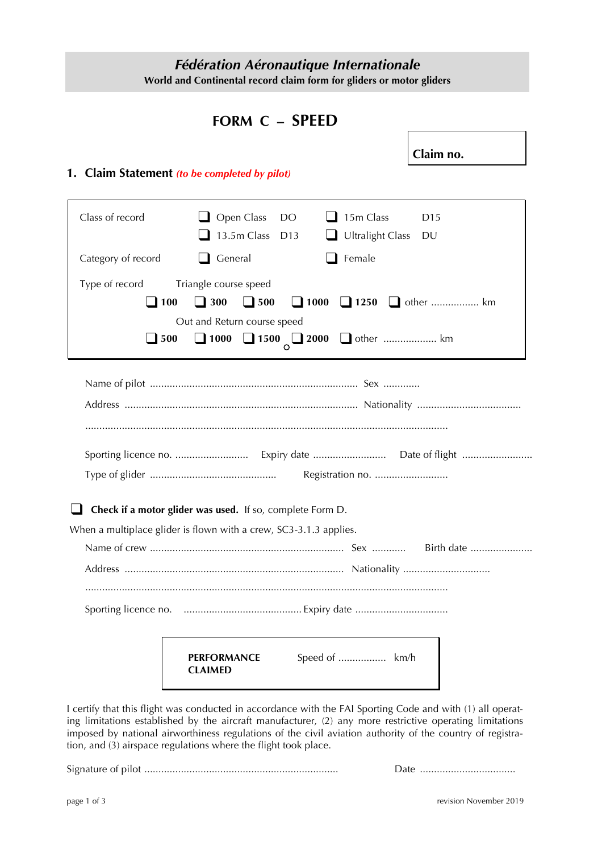# *Fédération Aéronautique Internationale* **World and Continental record claim form for gliders or motor gliders**

# **FORM C – SPEED**

**Claim no.**

### **1. Claim Statement** *(to be completed by pilot)*

| Class of record                             | $\Box$ Open Class<br>15m Class<br>DO<br>D <sub>15</sub><br>13.5m Class<br>Ultralight Class DU<br>D13 |
|---------------------------------------------|------------------------------------------------------------------------------------------------------|
| Category of record                          | $\Box$ General<br>Female                                                                             |
| Type of record<br>$\blacksquare$ 100<br>500 | Triangle course speed<br>$\Box$ 300<br>$\Box$ 500<br>Out and Return course speed                     |
|                                             |                                                                                                      |
|                                             | Registration no.<br>Check if a motor glider was used. If so, complete Form D.                        |
|                                             | When a multiplace glider is flown with a crew, SC3-3.1.3 applies.                                    |
|                                             | Birth date                                                                                           |
|                                             |                                                                                                      |
|                                             | Speed of  km/h<br><b>PERFORMANCE</b><br><b>CLAIMED</b>                                               |

I certify that this flight was conducted in accordance with the FAI Sporting Code and with (1) all operating limitations established by the aircraft manufacturer, (2) any more restrictive operating limitations imposed by national airworthiness regulations of the civil aviation authority of the country of registration, and (3) airspace regulations where the flight took place.

Signature of pilot ..................................................................... Date ..................................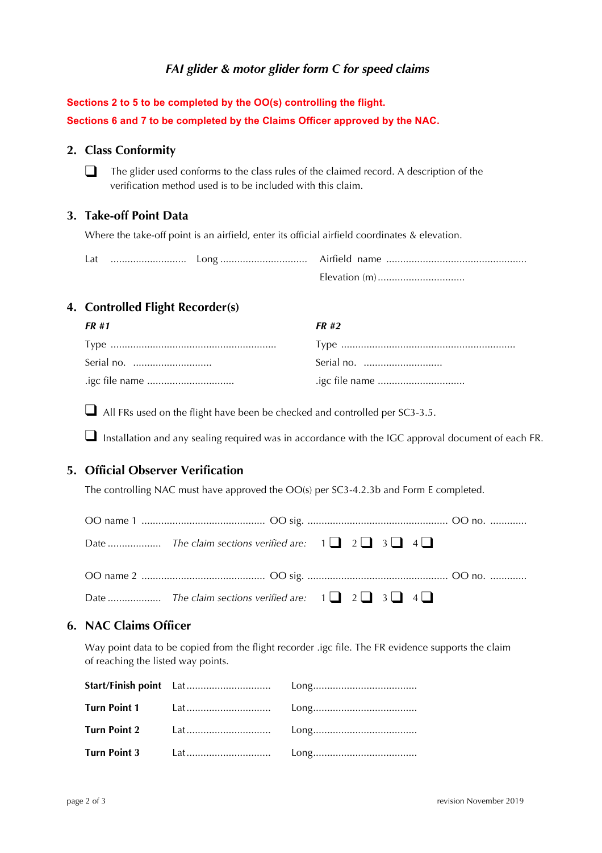# *FAI glider & motor glider form C for speed claims*

| Sections 2 to 5 to be completed by the OO(s) controlling the flight.        |  |
|-----------------------------------------------------------------------------|--|
| Sections 6 and 7 to be completed by the Claims Officer approved by the NAC. |  |

#### **2. Class Conformity**

❑ The glider used conforms to the class rules of the claimed record. A description of the verification method used is to be included with this claim.

#### **3. Take-off Point Data**

Where the take-off point is an airfield, enter its official airfield coordinates & elevation.

| Lat |  |  |
|-----|--|--|
|     |  |  |

## **4. Controlled Flight Recorder(s)**

| FR #1          | FR #2 |
|----------------|-------|
|                |       |
| Serial no.     |       |
| .igc file name |       |

 $\Box$  All FRs used on the flight have been be checked and controlled per SC3-3.5.

■ Installation and any sealing required was in accordance with the IGC approval document of each FR.

### **5. Official Observer Verification**

The controlling NAC must have approved the OO(s) per SC3-4.2.3b and Form E completed.

# **6. NAC Claims Officer**

Way point data to be copied from the flight recorder .igc file. The FR evidence supports the claim of reaching the listed way points.